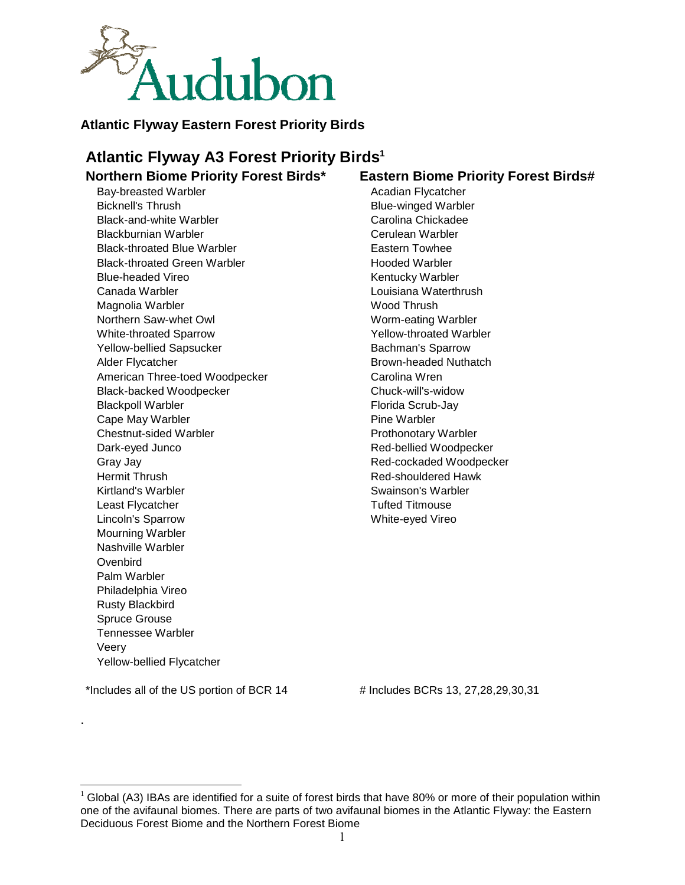

# **Atlantic Flyway Eastern Forest Priority Birds**

# **Atlantic Flyway A3 Forest Priority Birds<sup>1</sup>**

# **Northern Biome Priority Forest Birds\* Eastern Biome Priority Forest Birds#**

Bay-breasted Warbler **Acadian Flycatcher** Acadian Flycatcher Bicknell's Thrush Bicknell's Thrush Blue-winged Warbler Black-and-white Warbler Carolina Chickadee Blackburnian Warbler Cerulean Warbler Black-throated Blue Warbler Eastern Towhee Black-throated Green Warbler **Hooded Warbler** Hooded Warbler Blue-headed Vireo **Kentucky Warbler** Kentucky Warbler Canada Warbler Louisiana Waterthrush Magnolia Warbler Wood Thrush Northern Saw-whet Owl Worm-eating Warbler White-throated Sparrow Yellow-throated Warbler Yellow-bellied Sapsucker **Bachman's Sparrow** Alder Flycatcher **Brown-headed Nuthatch** American Three-toed Woodpecker Carolina Wren Black-backed Woodpecker Chuck-will's-widow Blackpoll Warbler **Florida Scrub-Jay** Cape May Warbler **Pine Warbler** Pine Warbler Chestnut-sided Warbler Prothonotary Warbler Dark-eyed Junco Red-bellied Woodpecker Gray Jay **Branch Communist Communist Cray Jay Red-cockaded Woodpecker** Hermit Thrush Red-shouldered Hawk Kirtland's Warbler Swainson's Warbler Swainson's Warbler Least Flycatcher Tufted Titmouse Lincoln's Sparrow White-eyed Vireo Mourning Warbler Nashville Warbler **Ovenbird** Palm Warbler Philadelphia Vireo Rusty Blackbird Spruce Grouse Tennessee Warbler Veery Yellow-bellied Flycatcher

\*Includes all of the US portion of BCR  $14$   $\qquad$  # Includes BCRs  $13, 27, 28, 29, 30, 31$ 

.

 $\overline{a}$ 

 $1$  Global (A3) IBAs are identified for a suite of forest birds that have 80% or more of their population within one of the avifaunal biomes. There are parts of two avifaunal biomes in the Atlantic Flyway: the Eastern Deciduous Forest Biome and the Northern Forest Biome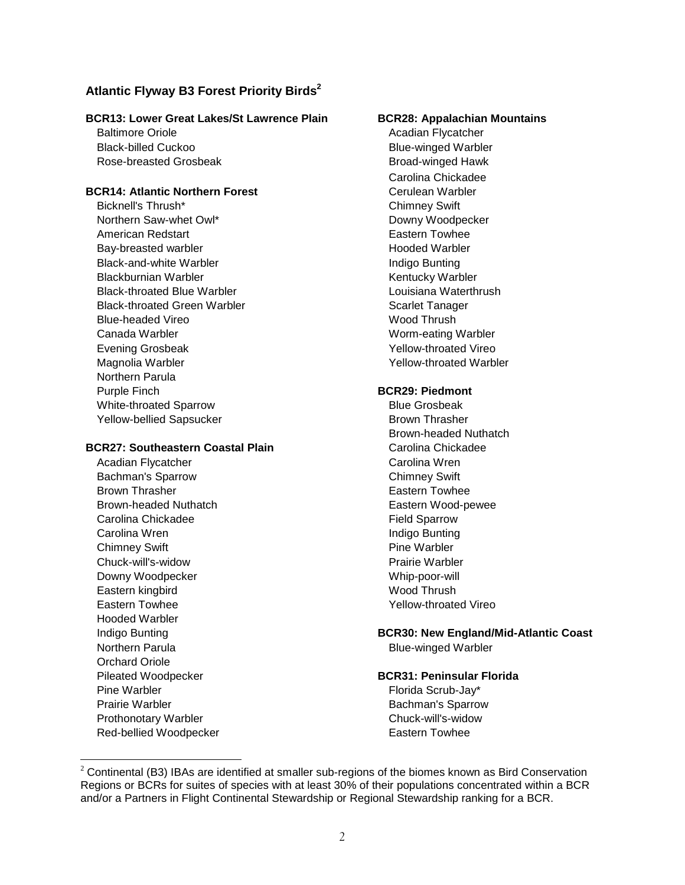# **Atlantic Flyway B3 Forest Priority Birds<sup>2</sup>**

### **BCR13: Lower Great Lakes/St Lawrence Plain BCR28: Appalachian Mountains**

Baltimore Oriole **Acadian Flycatcher** Acadian Flycatcher Black-billed Cuckoo **Blue-winged Warbler** Rose-breasted Grosbeak Broad-winged Hawk

### **BCR14: Atlantic Northern Forest Cerulean Warbler**

Bicknell's Thrush\* Chimney Swift Northern Saw-whet Owl\* Downy Woodpecker American Redstart **Eastern Towhee** Bay-breasted warbler **Hooded Warbler Hooded Warbler** Black-and-white Warbler **Indigo Bunting** Bunting Blackburnian Warbler **Kentucky Warbler** Kentucky Warbler Black-throated Blue Warbler Louisiana Waterthrush Black-throated Green Warbler Scarlet Tanager Blue-headed Vireo Wood Thrush Canada Warbler Worm-eating Warbler Evening Grosbeak Yellow-throated Vireo Magnolia Warbler **Yellow-throated Warbler** Northern Parula Purple Finch **BCR29: Piedmont**  White-throated Sparrow Blue Grosbeak Yellow-bellied Sapsucker Brown Thrasher

### **BCR27: Southeastern Coastal Plain**  Carolina Chickadee

Acadian Flycatcher Carolina Wren Bachman's Sparrow Chimney Swift Brown Thrasher **Eastern Towhee** Eastern Towhee Brown-headed Nuthatch **Eastern Wood-pewee** Carolina Chickadee **Field Sparrow** Carolina Wren **Indigo** Bunting Chimney Swift **Pine Warbler** Pine Warbler Chuck-will's-widow Prairie Warbler Downy Woodpecker New York and Whip-poor-will Eastern kingbird Wood Thrush Eastern Towhee The Yellow-throated Vireo Hooded Warbler Northern Parula **Blue-winged Warbler** Orchard Oriole Pine Warbler **Florida** Scrub-Jay\* **Prairie Warbler Community Community Community Community Community Community Community Community Community Community Community Community Community Community Community Community Community Community Community Community Commu** Prothonotary Warbler Chuck-will's-widow Red-bellied Woodpecker **Eastern Towhee** 

 $\overline{a}$ 

Carolina Chickadee

Brown-headed Nuthatch

# Indigo Bunting **BCR30: New England/Mid-Atlantic Coast**

### Pileated Woodpecker **BCR31: Peninsular Florida**

 $2$  Continental (B3) IBAs are identified at smaller sub-regions of the biomes known as Bird Conservation Regions or BCRs for suites of species with at least 30% of their populations concentrated within a BCR and/or a Partners in Flight Continental Stewardship or Regional Stewardship ranking for a BCR.